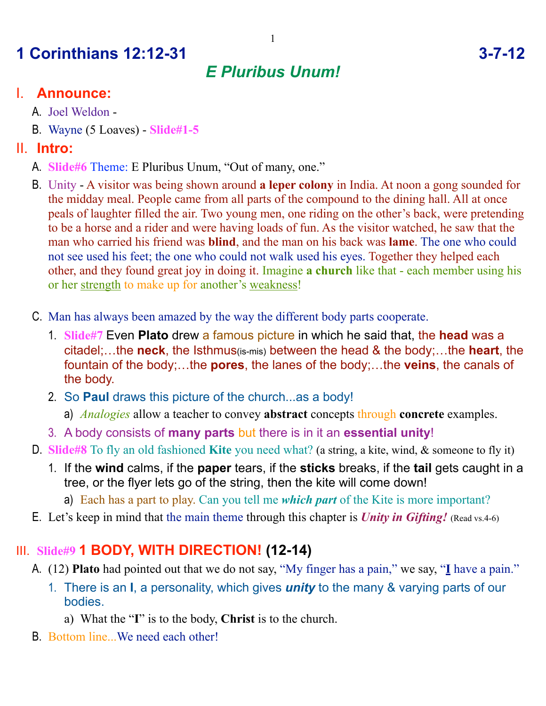# **1 Corinthians 12:12-31 3-7-12**

## *E Pluribus Unum!*

#### I. **Announce:**

- A. Joel Weldon -
- B. Wayne (5 Loaves) **Slide#1-5**

#### II. **Intro:**

- A. **Slide#6** Theme: E Pluribus Unum, "Out of many, one."
- B. Unity A visitor was being shown around **a leper colony** in India. At noon a gong sounded for the midday meal. People came from all parts of the compound to the dining hall. All at once peals of laughter filled the air. Two young men, one riding on the other's back, were pretending to be a horse and a rider and were having loads of fun. As the visitor watched, he saw that the man who carried his friend was **blind**, and the man on his back was **lame**. The one who could not see used his feet; the one who could not walk used his eyes. Together they helped each other, and they found great joy in doing it. Imagine **a church** like that - each member using his or her strength to make up for another's weakness!
- C. Man has always been amazed by the way the different body parts cooperate.
	- 1. **Slide#7** Even **Plato** drew a famous picture in which he said that, the **head** was a citadel;…the **neck**, the Isthmus(is-mis) between the head & the body;…the **heart**, the fountain of the body;…the **pores**, the lanes of the body;…the **veins**, the canals of the body.
	- 2. So **Paul** draws this picture of the church...as a body!
		- a) *Analogies* allow a teacher to convey **abstract** concepts through **concrete** examples.
	- 3. A body consists of **many parts** but there is in it an **essential unity**!
- D. **Slide#8** To fly an old fashioned **Kite** you need what? (a string, a kite, wind, & someone to fly it)
	- 1. If the **wind** calms, if the **paper** tears, if the **sticks** breaks, if the **tail** gets caught in a tree, or the flyer lets go of the string, then the kite will come down!
		- a) Each has a part to play. Can you tell me *which part* of the Kite is more important?
- E. Let's keep in mind that the main theme through this chapter is *Unity in Gifting!* (Read vs.4-6)

## III. **Slide#9 1 BODY, WITH DIRECTION! (12-14)**

- A. (12) **Plato** had pointed out that we do not say, "My finger has a pain," we say, "**I** have a pain."
	- 1. There is an **I**, a personality, which gives *unity* to the many & varying parts of our bodies.
		- a) What the "**I**" is to the body, **Christ** is to the church.
- B. Bottom line...We need each other!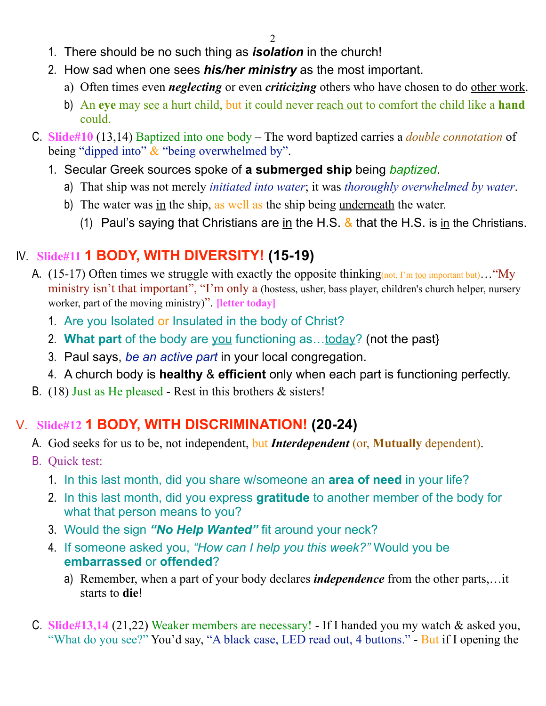- 1. There should be no such thing as *isolation* in the church!
- 2. How sad when one sees *his/her ministry* as the most important.
	- a) Often times even *neglecting* or even *criticizing* others who have chosen to do other work.
	- b) An **eye** may see a hurt child, but it could never reach out to comfort the child like a **hand** could.
- C. **Slide#10** (13,14) Baptized into one body The word baptized carries a *double connotation* of being "dipped into"  $&$  "being overwhelmed by".
	- 1. Secular Greek sources spoke of **a submerged ship** being *baptized*.
		- a) That ship was not merely *initiated into water*; it was *thoroughly overwhelmed by water*.
		- b) The water was in the ship, as well as the ship being underneath the water.
			- (1) Paul's saying that Christians are in the H.S.  $\&$  that the H.S. is in the Christians.

### IV. **Slide#11 1 BODY, WITH DIVERSITY! (15-19)**

- A. (15-17) Often times we struggle with exactly the opposite thinking (not, I'm too important but)... "My ministry isn't that important", "I'm only a (hostess, usher, bass player, children's church helper, nursery worker, part of the moving ministry)". **[letter today]**
	- 1. Are you Isolated or Insulated in the body of Christ?
	- 2. **What part** of the body are you functioning as…today? (not the past}
	- 3. Paul says, *be an active part* in your local congregation.
	- 4. A church body is **healthy** & **efficient** only when each part is functioning perfectly.
- B. (18) Just as He pleased Rest in this brothers & sisters!

## V. **Slide#12 1 BODY, WITH DISCRIMINATION! (20-24)**

- A. God seeks for us to be, not independent, but *Interdependent* (or, **Mutually** dependent).
- B. Quick test:
	- 1. In this last month, did you share w/someone an **area of need** in your life?
	- 2. In this last month, did you express **gratitude** to another member of the body for what that person means to you?
	- 3. Would the sign *"No Help Wanted"* fit around your neck?
	- 4. If someone asked you, *"How can I help you this week?"* Would you be **embarrassed** or **offended**?
		- a) Remember, when a part of your body declares *independence* from the other parts,…it starts to **die**!
- C. **Slide#13,14** (21,22) Weaker members are necessary! If I handed you my watch & asked you, "What do you see?" You'd say, "A black case, LED read out, 4 buttons." - But if I opening the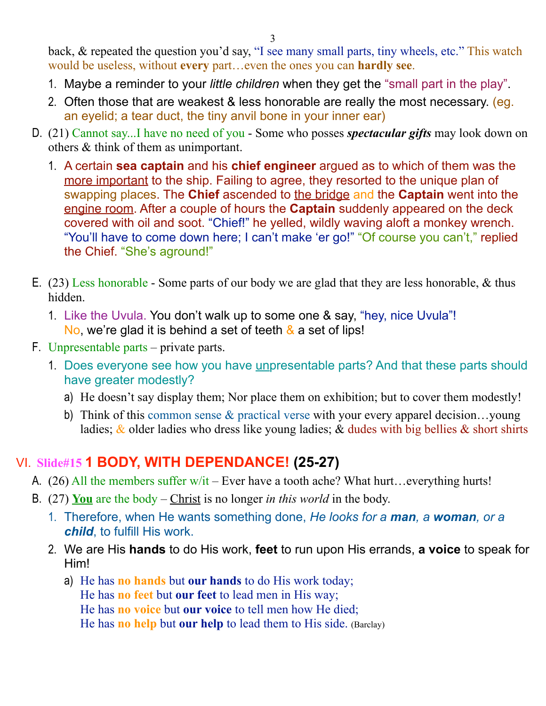back, & repeated the question you'd say, "I see many small parts, tiny wheels, etc." This watch would be useless, without **every** part…even the ones you can **hardly see**.

- 1. Maybe a reminder to your *little children* when they get the "small part in the play".
- 2. Often those that are weakest & less honorable are really the most necessary. (eg. an eyelid; a tear duct, the tiny anvil bone in your inner ear)
- D. (21) Cannot say...I have no need of you Some who posses *spectacular gifts* may look down on others & think of them as unimportant.
	- 1. A certain **sea captain** and his **chief engineer** argued as to which of them was the more important to the ship. Failing to agree, they resorted to the unique plan of swapping places. The **Chief** ascended to the bridge and the **Captain** went into the engine room. After a couple of hours the **Captain** suddenly appeared on the deck covered with oil and soot. "Chief!" he yelled, wildly waving aloft a monkey wrench. "You'll have to come down here; I can't make 'er go!" "Of course you can't," replied the Chief. "She's aground!"
- E. (23) Less honorable Some parts of our body we are glad that they are less honorable, & thus hidden.
	- 1. Like the Uvula. You don't walk up to some one & say, "hey, nice Uvula"! No, we're glad it is behind a set of teeth & a set of lips!
- F. Unpresentable parts private parts.
	- 1. Does everyone see how you have unpresentable parts? And that these parts should have greater modestly?
		- a) He doesn't say display them; Nor place them on exhibition; but to cover them modestly!
		- b) Think of this common sense & practical verse with your every apparel decision…young ladies;  $\&$  older ladies who dress like young ladies;  $\&$  dudes with big bellies  $\&$  short shirts

#### VI. **Slide#15 1 BODY, WITH DEPENDANCE! (25-27)**

- A. (26) All the members suffer  $w/t$  Ever have a tooth ache? What hurt... everything hurts!
- B. (27) **You** are the body Christ is no longer *in this world* in the body.
	- 1. Therefore, when He wants something done, *He looks for a man, a woman, or a child*, to fulfill His work.
	- 2. We are His **hands** to do His work, **feet** to run upon His errands, **a voice** to speak for Him!
		- a) He has **no hands** but **our hands** to do His work today; He has **no feet** but **our feet** to lead men in His way; He has **no voice** but **our voice** to tell men how He died; He has **no help** but **our help** to lead them to His side. (Barclay)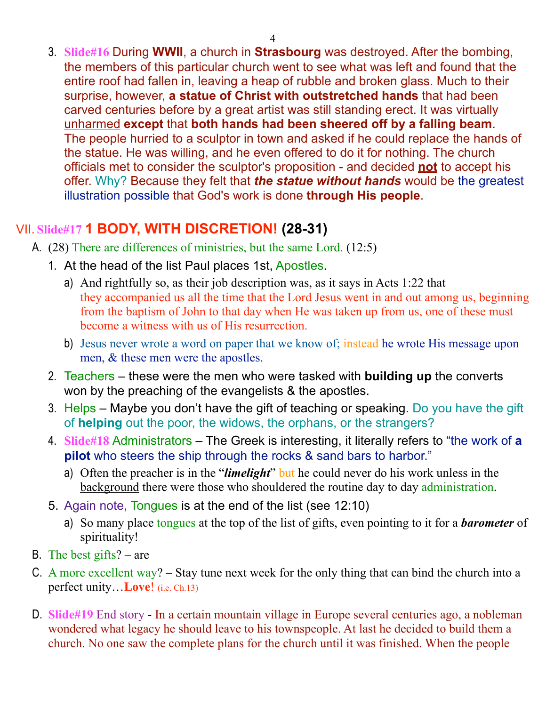3. **Slide#16** During **WWII**, a church in **Strasbourg** was destroyed. After the bombing, the members of this particular church went to see what was left and found that the entire roof had fallen in, leaving a heap of rubble and broken glass. Much to their surprise, however, **a statue of Christ with outstretched hands** that had been carved centuries before by a great artist was still standing erect. It was virtually unharmed **except** that **both hands had been sheered off by a falling beam**. The people hurried to a sculptor in town and asked if he could replace the hands of the statue. He was willing, and he even offered to do it for nothing. The church officials met to consider the sculptor's proposition - and decided **not** to accept his offer. Why? Because they felt that *the statue without hands* would be the greatest illustration possible that God's work is done **through His people**.

### VII. **Slide#17 1 BODY, WITH DISCRETION! (28-31)**

- A. (28) There are differences of ministries, but the same Lord. (12:5)
	- 1. At the head of the list Paul places 1st, Apostles.
		- a) And rightfully so, as their job description was, as it says in Acts 1:22 that they accompanied us all the time that the Lord Jesus went in and out among us, beginning from the baptism of John to that day when He was taken up from us, one of these must become a witness with us of His resurrection.
		- b) Jesus never wrote a word on paper that we know of; instead he wrote His message upon men, & these men were the apostles.
	- 2. Teachers these were the men who were tasked with **building up** the converts won by the preaching of the evangelists & the apostles.
	- 3. Helps Maybe you don't have the gift of teaching or speaking. Do you have the gift of **helping** out the poor, the widows, the orphans, or the strangers?
	- 4. **Slide#18** Administrators The Greek is interesting, it literally refers to "the work of **a pilot** who steers the ship through the rocks & sand bars to harbor."
		- a) Often the preacher is in the "*limelight*" but he could never do his work unless in the background there were those who shouldered the routine day to day administration.
	- 5. Again note, Tongues is at the end of the list (see 12:10)
		- a) So many place tongues at the top of the list of gifts, even pointing to it for a *barometer* of spirituality!
- B. The best gifts? are
- C. A more excellent way? Stay tune next week for the only thing that can bind the church into a perfect unity…**Love**! (i.e. Ch.13)
- D. **Slide#19** End story In a certain mountain village in Europe several centuries ago, a nobleman wondered what legacy he should leave to his townspeople. At last he decided to build them a church. No one saw the complete plans for the church until it was finished. When the people